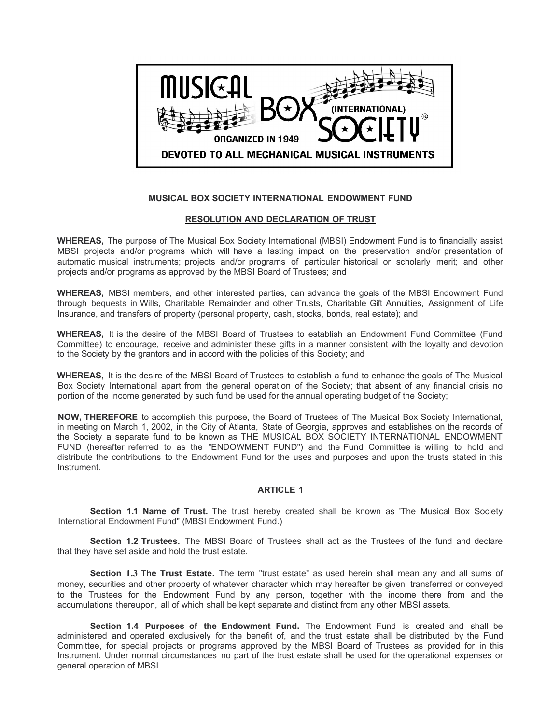

# **MUSICAL BOX SOCIETY INTERNATIONAL ENDOWMENT FUND**

## **RESOLUTION AND DECLARATION OF TRUST**

**WHEREAS,** The purpose of The Musical Box Society International (MBSI) Endowment Fund is to financially assist MBSI projects and/or programs which will have a lasting impact on the preservation and/or presentation of automatic musical instruments; projects and/or programs of particular historical or scholarly merit; and other projects and/or programs as approved by the MBSI Board of Trustees; and

**WHEREAS,** MBSI members, and other interested parties, can advance the goals of the MBSI Endowment Fund through bequests in Wills, Charitable Remainder and other Trusts, Charitable Gift Annuities, Assignment of Life Insurance, and transfers of property (personal property, cash, stocks, bonds, real estate); and

**WHEREAS,** It is the desire of the MBSI Board of Trustees to establish an Endowment Fund Committee (Fund Committee) to encourage, receive and administer these gifts in a manner consistent with the loyalty and devotion to the Society by the grantors and in accord with the policies of this Society; and

**WHEREAS,** It is the desire of the MBSI Board of Trustees to establish a fund to enhance the goals of The Musical Box Society International apart from the general operation of the Society; that absent of any financial crisis no portion of the income generated by such fund be used for the annual operating budget of the Society;

**NOW, THEREFORE** to accomplish this purpose, the Board of Trustees of The Musical Box Society International, in meeting on March 1, 2002, in the City of Atlanta, State of Georgia, approves and establishes on the records of the Society a separate fund to be known as THE MUSICAL BOX SOCIETY INTERNATIONAL ENDOWMENT FUND (hereafter referred to as the "ENDOWMENT FUND") and the Fund Committee is willing to hold and distribute the contributions to the Endowment Fund for the uses and purposes and upon the trusts stated in this Instrument.

### **ARTICLE 1**

**Section 1.1 Name of Trust.** The trust hereby created shall be known as 'The Musical Box Society International Endowment Fund" (MBSI Endowment Fund.)

**Section 1.2 Trustees.** The MBSI Board of Trustees shall act as the Trustees of the fund and declare that they have set aside and hold the trust estate.

**Section 1.3 The Trust Estate.** The term "trust estate" as used herein shall mean any and all sums of money, securities and other property of whatever character which may hereafter be given, transferred or conveyed to the Trustees for the Endowment Fund by any person, together with the income there from and the accumulations thereupon, all of which shall be kept separate and distinct from any other MBSI assets.

**Section 1.4 Purposes of the Endowment Fund.** The Endowment Fund is created and shall be administered and operated exclusively for the benefit of, and the trust estate shall be distributed by the Fund Committee, for special projects or programs approved by the MBSI Board of Trustees as provided for in this Instrument. Under normal circumstances no part of the trust estate shall be used for the operational expenses or general operation of MBSI.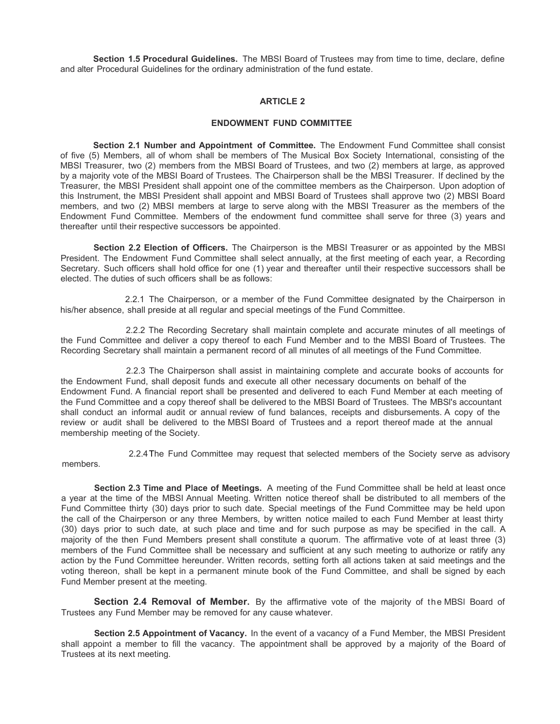**Section 1.5 Procedural Guidelines.** The MBSI Board of Trustees may from time to time, declare, define and alter Procedural Guidelines for the ordinary administration of the fund estate.

## **ARTICLE 2**

#### **ENDOWMENT FUND COMMITTEE**

**Section 2.1 Number and Appointment of Committee.** The Endowment Fund Committee shall consist of five (5) Members, all of whom shall be members of The Musical Box Society International, consisting of the MBSI Treasurer, two (2) members from the MBSI Board of Trustees, and two (2) members at large, as approved by a majority vote of the MBSI Board of Trustees. The Chairperson shall be the MBSI Treasurer. If declined by the Treasurer, the MBSI President shall appoint one of the committee members as the Chairperson. Upon adoption of this Instrument, the MBSI President shall appoint and MBSI Board of Trustees shall approve two (2) MBSI Board members, and two (2) MBSI members at large to serve along with the MBSI Treasurer as the members of the Endowment Fund Committee. Members of the endowment fund committee shall serve for three (3) years and thereafter until their respective successors be appointed.

**Section 2.2 Election of Officers.** The Chairperson is the MBSI Treasurer or as appointed by the MBSI President. The Endowment Fund Committee shall select annually, at the first meeting of each year, a Recording Secretary. Such officers shall hold office for one (1) year and thereafter until their respective successors shall be elected. The duties of such officers shall be as follows:

2.2.1 The Chairperson, or a member of the Fund Committee designated by the Chairperson in his/her absence, shall preside at all regular and special meetings of the Fund Committee.

2.2.2 The Recording Secretary shall maintain complete and accurate minutes of all meetings of the Fund Committee and deliver a copy thereof to each Fund Member and to the MBSI Board of Trustees. The Recording Secretary shall maintain a permanent record of all minutes of all meetings of the Fund Committee.

2.2.3 The Chairperson shall assist in maintaining complete and accurate books of accounts for the Endowment Fund, shall deposit funds and execute all other necessary documents on behalf of the Endowment Fund. A financial report shall be presented and delivered to each Fund Member at each meeting of the Fund Committee and a copy thereof shall be delivered to the MBSI Board of Trustees. The MBSl's accountant shall conduct an informal audit or annual review of fund balances, receipts and disbursements. A copy of the review or audit shall be delivered to the MBSI Board of Trustees and a report thereof made at the annual membership meeting of the Society.

members.

2.2.4The Fund Committee may request that selected members of the Society serve as advisory

**Section 2.3 Time and Place of Meetings.** A meeting of the Fund Committee shall be held at least once a year at the time of the MBSI Annual Meeting. Written notice thereof shall be distributed to all members of the Fund Committee thirty (30) days prior to such date. Special meetings of the Fund Committee may be held upon the call of the Chairperson or any three Members, by written notice mailed to each Fund Member at least thirty (30) days prior to such date, at such place and time and for such purpose as may be specified in the call. A majority of the then Fund Members present shall constitute a quorum. The affirmative vote of at least three (3) members of the Fund Committee shall be necessary and sufficient at any such meeting to authorize or ratify any action by the Fund Committee hereunder. Written records, setting forth all actions taken at said meetings and the voting thereon, shall be kept in a permanent minute book of the Fund Committee, and shall be signed by each Fund Member present at the meeting.

**Section 2.4 Removal of Member.** By the affirmative vote of the majority of the MBSI Board of Trustees any Fund Member may be removed for any cause whatever.

**Section 2.5 Appointment of Vacancy.** In the event of a vacancy of a Fund Member, the MBSI President shall appoint a member to fill the vacancy. The appointment shall be approved by a majority of the Board of Trustees at its next meeting.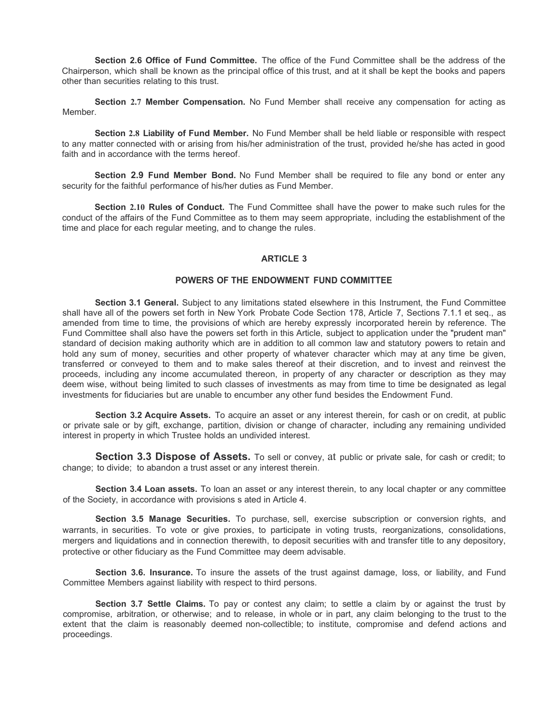**Section 2.6 Office of Fund Committee.** The office of the Fund Committee shall be the address of the Chairperson, which shall be known as the principal office of this trust, and at it shall be kept the books and papers other than securities relating to this trust.

**Section 2.7 Member Compensation.** No Fund Member shall receive any compensation for acting as Member.

**Section 2.8 Liability of Fund Member.** No Fund Member shall be held liable or responsible with respect to any matter connected with or arising from his/her administration of the trust, provided he/she has acted in good faith and in accordance with the terms hereof.

**Section 2.9 Fund Member Bond.** No Fund Member shall be required to file any bond or enter any security for the faithful performance of his/her duties as Fund Member.

**Section 2.10 Rules of Conduct.** The Fund Committee shall have the power to make such rules for the conduct of the affairs of the Fund Committee as to them may seem appropriate, including the establishment of the time and place for each regular meeting, and to change the rules.

## **ARTICLE 3**

#### **POWERS OF THE ENDOWMENT FUND COMMITTEE**

**Section 3.1 General.** Subject to any limitations stated elsewhere in this Instrument, the Fund Committee shall have all of the powers set forth in New York Probate Code Section 178, Article 7, Sections 7.1.1 et seq., as amended from time to time, the provisions of which are hereby expressly incorporated herein by reference. The Fund Committee shall also have the powers set forth in this Article, subject to application under the "prudent man" standard of decision making authority which are in addition to all common law and statutory powers to retain and hold any sum of money, securities and other property of whatever character which may at any time be given, transferred or conveyed to them and to make sales thereof at their discretion, and to invest and reinvest the proceeds, including any income accumulated thereon, in property of any character or description as they may deem wise, without being limited to such classes of investments as may from time to time be designated as legal investments for fiduciaries but are unable to encumber any other fund besides the Endowment Fund.

**Section 3.2 Acquire Assets.** To acquire an asset or any interest therein, for cash or on credit, at public or private sale or by gift, exchange, partition, division or change of character, including any remaining undivided interest in property in which Trustee holds an undivided interest.

**Section 3.3 Dispose of Assets.** To sell or convey, at public or private sale, for cash or credit; to change; to divide; to abandon a trust asset or any interest therein.

**Section 3.4 Loan assets.** To loan an asset or any interest therein, to any local chapter or any committee of the Society, in accordance with provisions s ated in Article 4.

**Section 3.5 Manage Securities.** To purchase, sell, exercise subscription or conversion rights, and warrants, in securities. To vote or give proxies, to participate in voting trusts, reorganizations, consolidations, mergers and liquidations and in connection therewith, to deposit securities with and transfer title to any depository, protective or other fiduciary as the Fund Committee may deem advisable.

**Section 3.6. Insurance.** To insure the assets of the trust against damage, loss, or liability, and Fund Committee Members against liability with respect to third persons.

**Section 3.7 Settle Claims.** To pay or contest any claim; to settle a claim by or against the trust by compromise, arbitration, or otherwise; and to release, in whole or in part, any claim belonging to the trust to the extent that the claim is reasonably deemed non-collectible; to institute, compromise and defend actions and proceedings.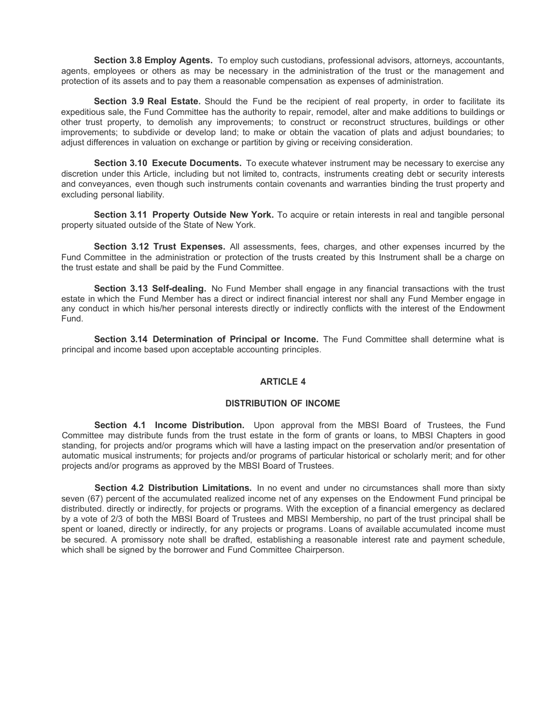**Section 3.8 Employ Agents.** To employ such custodians, professional advisors, attorneys, accountants, agents, employees or others as may be necessary in the administration of the trust or the management and protection of its assets and to pay them a reasonable compensation as expenses of administration.

**Section 3.9 Real Estate.** Should the Fund be the recipient of real property, in order to facilitate its expeditious sale, the Fund Committee has the authority to repair, remodel, alter and make additions to buildings or other trust property, to demolish any improvements; to construct or reconstruct structures, buildings or other improvements; to subdivide or develop land; to make or obtain the vacation of plats and adjust boundaries; to adjust differences in valuation on exchange or partition by giving or receiving consideration.

**Section 3.10 Execute Documents.** To execute whatever instrument may be necessary to exercise any discretion under this Article, including but not limited to, contracts, instruments creating debt or security interests and conveyances, even though such instruments contain covenants and warranties binding the trust property and excluding personal liability.

**Section 3.11 Property Outside New York.** To acquire or retain interests in real and tangible personal property situated outside of the State of New York.

**Section 3.12 Trust Expenses.** All assessments, fees, charges, and other expenses incurred by the Fund Committee in the administration or protection of the trusts created by this Instrument shall be a charge on the trust estate and shall be paid by the Fund Committee.

**Section 3.13 Self-dealing.** No Fund Member shall engage in any financial transactions with the trust estate in which the Fund Member has a direct or indirect financial interest nor shall any Fund Member engage in any conduct in which his/her personal interests directly or indirectly conflicts with the interest of the Endowment Fund.

**Section 3.14 Determination of Principal or Income.** The Fund Committee shall determine what is principal and income based upon acceptable accounting principles.

### **ARTICLE 4**

### **DISTRIBUTION OF INCOME**

**Section 4.1 Income Distribution.** Upon approval from the MBSI Board of Trustees, the Fund Committee may distribute funds from the trust estate in the form of grants or loans, to MBSI Chapters in good standing, for projects and/or programs which will have a lasting impact on the preservation and/or presentation of automatic musical instruments; for projects and/or programs of particular historical or scholarly merit; and for other projects and/or programs as approved by the MBSI Board of Trustees.

**Section 4.2 Distribution Limitations.** In no event and under no circumstances shall more than sixty seven (67) percent of the accumulated realized income net of any expenses on the Endowment Fund principal be distributed. directly or indirectly, for projects or programs. With the exception of a financial emergency as declared by a vote of 2/3 of both the MBSI Board of Trustees and MBSI Membership, no part of the trust principal shall be spent or loaned, directly or indirectly, for any projects or programs. Loans of available accumulated income must be secured. A promissory note shall be drafted, establishing a reasonable interest rate and payment schedule, which shall be signed by the borrower and Fund Committee Chairperson.